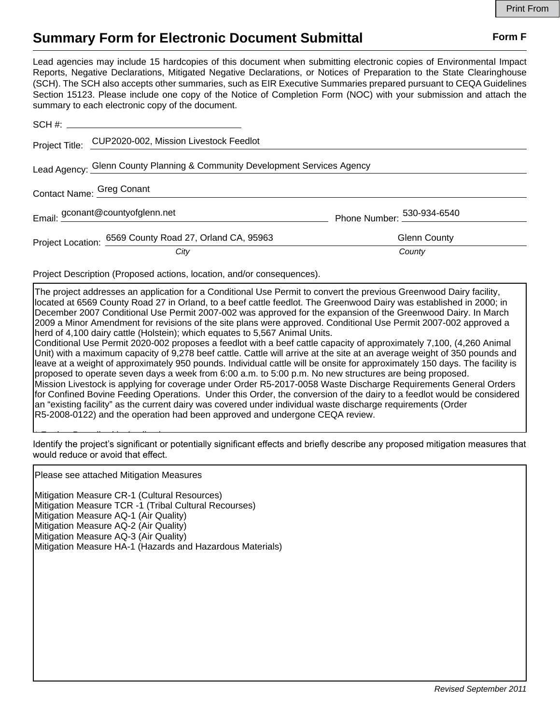## **Summary Form for Electronic Document Submittal Form F Form F**

Lead agencies may include 15 hardcopies of this document when submitting electronic copies of Environmental Impact Reports, Negative Declarations, Mitigated Negative Declarations, or Notices of Preparation to the State Clearinghouse (SCH). The SCH also accepts other summaries, such as EIR Executive Summaries prepared pursuant to CEQA Guidelines Section 15123. Please include one copy of the Notice of Completion Form (NOC) with your submission and attach the summary to each electronic copy of the document.

|                                                                            | Project Title: CUP2020-002, Mission Livestock Feedlot   |                            |
|----------------------------------------------------------------------------|---------------------------------------------------------|----------------------------|
| Lead Agency: Glenn County Planning & Community Development Services Agency |                                                         |                            |
|                                                                            | Contact Name: Greg Conant                               |                            |
|                                                                            | Email: gconant@countyofglenn.net                        | Phone Number: 530-934-6540 |
|                                                                            | Project Location: 6569 County Road 27, Orland CA, 95963 | <b>Glenn County</b>        |
|                                                                            | City                                                    | County                     |

Project Description (Proposed actions, location, and/or consequences).

The project addresses an application for a Conditional Use Permit to convert the previous Greenwood Dairy facility, located at 6569 County Road 27 in Orland, to a beef cattle feedlot. The Greenwood Dairy was established in 2000; in December 2007 Conditional Use Permit 2007-002 was approved for the expansion of the Greenwood Dairy. In March 2009 a Minor Amendment for revisions of the site plans were approved. Conditional Use Permit 2007-002 approved a herd of 4,100 dairy cattle (Holstein); which equates to 5,567 Animal Units.

Conditional Use Permit 2020-002 proposes a feedlot with a beef cattle capacity of approximately 7,100, (4,260 Animal Unit) with a maximum capacity of 9,278 beef cattle. Cattle will arrive at the site at an average weight of 350 pounds and leave at a weight of approximately 950 pounds. Individual cattle will be onsite for approximately 150 days. The facility is proposed to operate seven days a week from 6:00 a.m. to 5:00 p.m. No new structures are being proposed. Mission Livestock is applying for coverage under Order R5-2017-0058 Waste Discharge Requirements General Orders for Confined Bovine Feeding Operations. Under this Order, the conversion of the dairy to a feedlot would be considered an "existing facility" as the current dairy was covered under individual waste discharge requirements (Order R5-2008-0122) and the operation had been approved and undergone CEQA review.

Identify the project's significant or potentially significant effects and briefly describe any proposed mitigation measures that would reduce or avoid that effect.  $\frac{1}{2}$  Further Description in Application in Application in Application in Application in Application in Application in Application in Application in Application in Application in Application in Application in Applicat

Please see attached Mitigation Measures

Mitigation Measure CR-1 (Cultural Resources) Mitigation Measure TCR -1 (Tribal Cultural Recourses) Mitigation Measure AQ-1 (Air Quality) Mitigation Measure AQ-2 (Air Quality) Mitigation Measure AQ-3 (Air Quality) Mitigation Measure HA-1 (Hazards and Hazardous Materials)